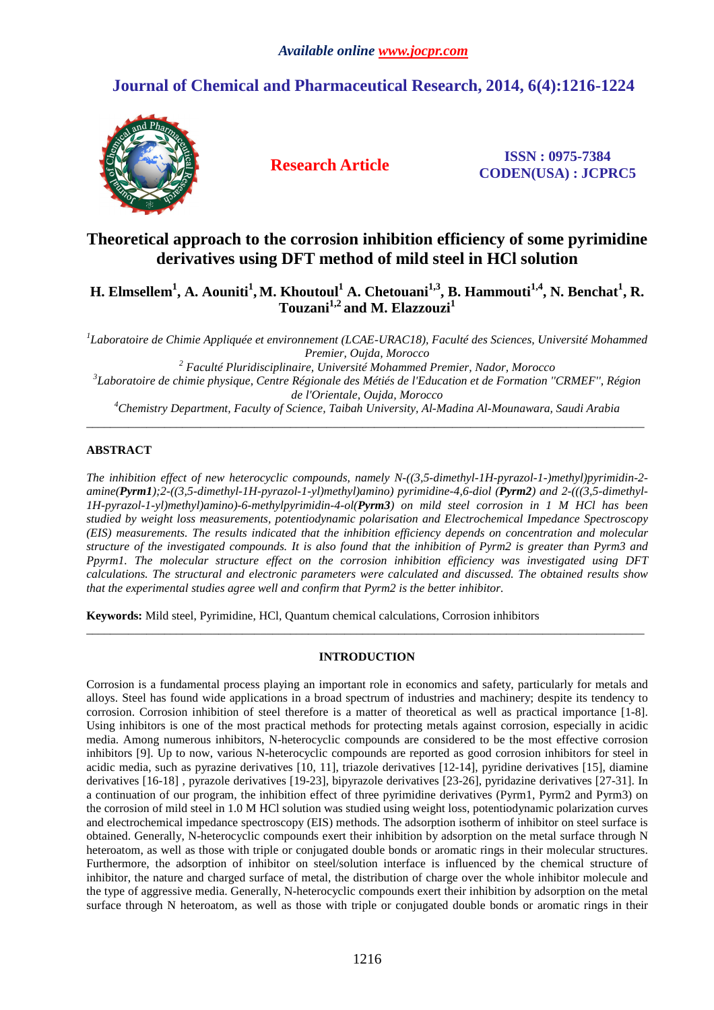# **Journal of Chemical and Pharmaceutical Research, 2014, 6(4):1216-1224**



**Research Article ISSN : 0975-7384 CODEN(USA) : JCPRC5**

# **Theoretical approach to the corrosion inhibition efficiency of some pyrimidine derivatives using DFT method of mild steel in HCl solution**

**H. Elmsellem<sup>1</sup> , A. Aouniti<sup>1</sup> , M. Khoutoul<sup>1</sup> A. Chetouani1,3, B. Hammouti1,4, N. Benchat<sup>1</sup> , R. Touzani1,2 and M. Elazzouzi<sup>1</sup>**

<sup>1</sup>Laboratoire de Chimie Appliquée et environnement (LCAE-URAC18), Faculté des Sciences, Université Mohammed *Premier, Oujda, Morocco* 

*2 Faculté Pluridisciplinaire, Université Mohammed Premier, Nador, Morocco 3 Laboratoire de chimie physique, Centre Régionale des Métiés de l'Education et de Formation ''CRMEF'', Région de l'Orientale, Oujda, Morocco* 

*<sup>4</sup>Chemistry Department, Faculty of Science, Taibah University, Al-Madina Al-Mounawara, Saudi Arabia*  \_\_\_\_\_\_\_\_\_\_\_\_\_\_\_\_\_\_\_\_\_\_\_\_\_\_\_\_\_\_\_\_\_\_\_\_\_\_\_\_\_\_\_\_\_\_\_\_\_\_\_\_\_\_\_\_\_\_\_\_\_\_\_\_\_\_\_\_\_\_\_\_\_\_\_\_\_\_\_\_\_\_\_\_\_\_\_\_\_\_\_\_\_

## **ABSTRACT**

*The inhibition effect of new heterocyclic compounds, namely N-((3,5-dimethyl-1H-pyrazol-1-)methyl)pyrimidin-2 amine(Pyrm1);2-((3,5-dimethyl-1H-pyrazol-1-yl)methyl)amino) pyrimidine-4,6-diol (Pyrm2) and 2-(((3,5-dimethyl-1H-pyrazol-1-yl)methyl)amino)-6-methylpyrimidin-4-ol(Pyrm3) on mild steel corrosion in 1 M HCl has been studied by weight loss measurements, potentiodynamic polarisation and Electrochemical Impedance Spectroscopy (EIS) measurements. The results indicated that the inhibition efficiency depends on concentration and molecular structure of the investigated compounds. It is also found that the inhibition of Pyrm2 is greater than Pyrm3 and Ppyrm1. The molecular structure effect on the corrosion inhibition efficiency was investigated using DFT calculations. The structural and electronic parameters were calculated and discussed. The obtained results show that the experimental studies agree well and confirm that Pyrm2 is the better inhibitor.* 

**Keywords:** Mild steel, Pyrimidine, HCl, Quantum chemical calculations, Corrosion inhibitors

## **INTRODUCTION**

\_\_\_\_\_\_\_\_\_\_\_\_\_\_\_\_\_\_\_\_\_\_\_\_\_\_\_\_\_\_\_\_\_\_\_\_\_\_\_\_\_\_\_\_\_\_\_\_\_\_\_\_\_\_\_\_\_\_\_\_\_\_\_\_\_\_\_\_\_\_\_\_\_\_\_\_\_\_\_\_\_\_\_\_\_\_\_\_\_\_\_\_\_

Corrosion is a fundamental process playing an important role in economics and safety, particularly for metals and alloys. Steel has found wide applications in a broad spectrum of industries and machinery; despite its tendency to corrosion. Corrosion inhibition of steel therefore is a matter of theoretical as well as practical importance [1-8]. Using inhibitors is one of the most practical methods for protecting metals against corrosion, especially in acidic media. Among numerous inhibitors, N-heterocyclic compounds are considered to be the most effective corrosion inhibitors [9]. Up to now, various N-heterocyclic compounds are reported as good corrosion inhibitors for steel in acidic media, such as pyrazine derivatives [10, 11], triazole derivatives [12-14], pyridine derivatives [15], diamine derivatives [16-18] , pyrazole derivatives [19-23], bipyrazole derivatives [23-26], pyridazine derivatives [27-31]. In a continuation of our program, the inhibition effect of three pyrimidine derivatives (Pyrm1, Pyrm2 and Pyrm3) on the corrosion of mild steel in 1.0 M HCl solution was studied using weight loss, potentiodynamic polarization curves and electrochemical impedance spectroscopy (EIS) methods. The adsorption isotherm of inhibitor on steel surface is obtained. Generally, N-heterocyclic compounds exert their inhibition by adsorption on the metal surface through N heteroatom, as well as those with triple or conjugated double bonds or aromatic rings in their molecular structures. Furthermore, the adsorption of inhibitor on steel/solution interface is influenced by the chemical structure of inhibitor, the nature and charged surface of metal, the distribution of charge over the whole inhibitor molecule and the type of aggressive media. Generally, N-heterocyclic compounds exert their inhibition by adsorption on the metal surface through N heteroatom, as well as those with triple or conjugated double bonds or aromatic rings in their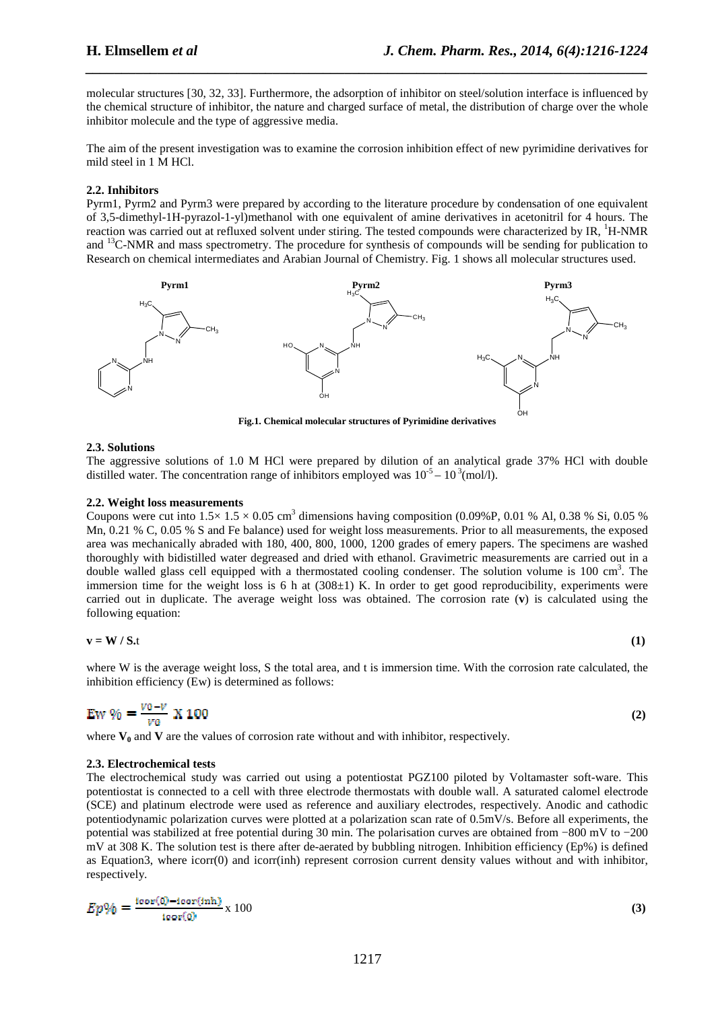molecular structures [30, 32, 33]. Furthermore, the adsorption of inhibitor on steel/solution interface is influenced by the chemical structure of inhibitor, the nature and charged surface of metal, the distribution of charge over the whole inhibitor molecule and the type of aggressive media.

*\_\_\_\_\_\_\_\_\_\_\_\_\_\_\_\_\_\_\_\_\_\_\_\_\_\_\_\_\_\_\_\_\_\_\_\_\_\_\_\_\_\_\_\_\_\_\_\_\_\_\_\_\_\_\_\_\_\_\_\_\_\_\_\_\_\_\_\_\_\_\_\_\_\_\_\_\_\_*

The aim of the present investigation was to examine the corrosion inhibition effect of new pyrimidine derivatives for mild steel in 1 M HCl.

## **2.2. Inhibitors**

Pyrm1, Pyrm2 and Pyrm3 were prepared by according to the literature procedure by condensation of one equivalent of 3,5-dimethyl-1H-pyrazol-1-yl)methanol with one equivalent of amine derivatives in acetonitril for 4 hours. The reaction was carried out at refluxed solvent under stiring. The tested compounds were characterized by IR, <sup>1</sup>H-NMR and <sup>13</sup>C-NMR and mass spectrometry. The procedure for synthesis of compounds will be sending for publication to Research on chemical intermediates and Arabian Journal of Chemistry. Fig. 1 shows all molecular structures used.



**Fig.1. Chemical molecular structures of Pyrimidine derivatives** 

## **2.3. Solutions**

The aggressive solutions of 1.0 M HCl were prepared by dilution of an analytical grade 37% HCl with double distilled water. The concentration range of inhibitors employed was  $10^{-5} - 10^{3}$  (mol/l).

### **2.2. Weight loss measurements**

Coupons were cut into  $1.5 \times 1.5 \times 0.05$  cm<sup>3</sup> dimensions having composition (0.09%P, 0.01 % Al, 0.38 % Si, 0.05 % Mn, 0.21 % C, 0.05 % S and Fe balance) used for weight loss measurements. Prior to all measurements, the exposed area was mechanically abraded with 180, 400, 800, 1000, 1200 grades of emery papers. The specimens are washed thoroughly with bidistilled water degreased and dried with ethanol. Gravimetric measurements are carried out in a double walled glass cell equipped with a thermostated cooling condenser. The solution volume is 100 cm<sup>3</sup>. The immersion time for the weight loss is 6 h at  $(308\pm1)$  K. In order to get good reproducibility, experiments were carried out in duplicate. The average weight loss was obtained. The corrosion rate (**v**) is calculated using the following equation:

$$
\mathbf{v} = \mathbf{W} / \mathbf{S} \mathbf{.} \tag{1}
$$

where W is the average weight loss, S the total area, and t is immersion time. With the corrosion rate calculated, the inhibition efficiency (Ew) is determined as follows:

$$
\text{Ew } \% = \frac{v_0 - v}{v_0} \times 100 \tag{2}
$$

where  $V_0$  and  $V$  are the values of corrosion rate without and with inhibitor, respectively.

## **2.3. Electrochemical tests**

The electrochemical study was carried out using a potentiostat PGZ100 piloted by Voltamaster soft-ware. This potentiostat is connected to a cell with three electrode thermostats with double wall. A saturated calomel electrode (SCE) and platinum electrode were used as reference and auxiliary electrodes, respectively. Anodic and cathodic potentiodynamic polarization curves were plotted at a polarization scan rate of 0.5mV/s. Before all experiments, the potential was stabilized at free potential during 30 min. The polarisation curves are obtained from −800 mV to −200 mV at 308 K. The solution test is there after de-aerated by bubbling nitrogen. Inhibition efficiency (Ep%) is defined as Equation3, where icorr(0) and icorr(inh) represent corrosion current density values without and with inhibitor, respectively.

$$
Ep\% = \frac{\text{icor}(0) - \text{icor}(\text{inh})}{\text{icor}(0)} \times 100\tag{3}
$$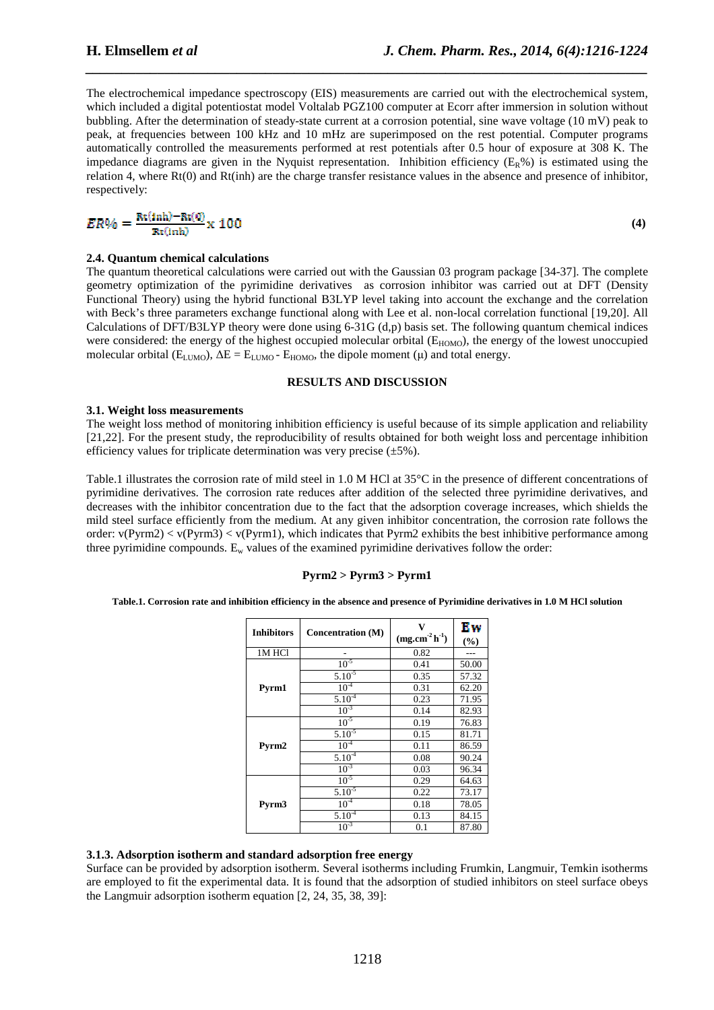The electrochemical impedance spectroscopy (EIS) measurements are carried out with the electrochemical system, which included a digital potentiostat model Voltalab PGZ100 computer at Ecorr after immersion in solution without bubbling. After the determination of steady-state current at a corrosion potential, sine wave voltage (10 mV) peak to peak, at frequencies between 100 kHz and 10 mHz are superimposed on the rest potential. Computer programs automatically controlled the measurements performed at rest potentials after 0.5 hour of exposure at 308 K. The impedance diagrams are given in the Nyquist representation. Inhibition efficiency  $(E_R\%)$  is estimated using the relation 4, where Rt(0) and Rt(inh) are the charge transfer resistance values in the absence and presence of inhibitor, respectively:

*\_\_\_\_\_\_\_\_\_\_\_\_\_\_\_\_\_\_\_\_\_\_\_\_\_\_\_\_\_\_\_\_\_\_\_\_\_\_\_\_\_\_\_\_\_\_\_\_\_\_\_\_\_\_\_\_\_\_\_\_\_\_\_\_\_\_\_\_\_\_\_\_\_\_\_\_\_\_*

$$
ER\% = \frac{\text{Rt(inh)} - \text{Rt(0)}}{\text{Rt(inh)}} \times 100
$$

**(4)**

## **2.4. Quantum chemical calculations**

The quantum theoretical calculations were carried out with the Gaussian 03 program package [34-37]. The complete geometry optimization of the pyrimidine derivatives as corrosion inhibitor was carried out at DFT (Density Functional Theory) using the hybrid functional B3LYP level taking into account the exchange and the correlation with Beck's three parameters exchange functional along with Lee et al. non-local correlation functional [19,20]. All Calculations of DFT/B3LYP theory were done using  $6-31G(d,p)$  basis set. The following quantum chemical indices were considered: the energy of the highest occupied molecular orbital (E<sub>HOMO</sub>), the energy of the lowest unoccupied molecular orbital ( $E_{LUMO}$ ),  $\Delta E = E_{LUMO} - E_{HOMO}$ , the dipole moment (µ) and total energy.

#### **RESULTS AND DISCUSSION**

#### **3.1. Weight loss measurements**

The weight loss method of monitoring inhibition efficiency is useful because of its simple application and reliability [21,22]. For the present study, the reproducibility of results obtained for both weight loss and percentage inhibition efficiency values for triplicate determination was very precise  $(\pm 5\%)$ .

Table.1 illustrates the corrosion rate of mild steel in 1.0 M HCl at 35°C in the presence of different concentrations of pyrimidine derivatives. The corrosion rate reduces after addition of the selected three pyrimidine derivatives, and decreases with the inhibitor concentration due to the fact that the adsorption coverage increases, which shields the mild steel surface efficiently from the medium. At any given inhibitor concentration, the corrosion rate follows the order:  $v(Pyrm3) < v(Pyrm1)$ , which indicates that Pyrm2 exhibits the best inhibitive performance among three pyrimidine compounds.  $E_w$  values of the examined pyrimidine derivatives follow the order:

## **Pyrm2 > Pyrm3 > Pyrm1**

#### **Table.1. Corrosion rate and inhibition efficiency in the absence and presence of Pyrimidine derivatives in 1.0 M HCl solution**

| <b>Inhibitors</b> | <b>Concentration (M)</b> | $(mg.cm^{-2} h^{-1})$ | Ew<br>(%) |
|-------------------|--------------------------|-----------------------|-----------|
| 1M HCl            |                          | 0.82                  |           |
|                   | $10^{-5}$                | 0.41                  | 50.00     |
|                   | $5.10^{-5}$              | 0.35                  | 57.32     |
| Pyrm1             | $10^{-4}$                | 0.31                  | 62.20     |
|                   | $5.10^{-4}$              | 0.23                  | 71.95     |
|                   | $10^{-3}$                | 0.14                  | 82.93     |
|                   | $10^{-5}$                | 0.19                  | 76.83     |
|                   | $5.10^{-5}$              | 0.15                  | 81.71     |
| Pyrm2             | $10^{-4}$                | 0.11                  | 86.59     |
|                   | $5.10^{-4}$              | 0.08                  | 90.24     |
|                   | $10^{-3}$                | 0.03                  | 96.34     |
|                   | $10^{-5}$                | 0.29                  | 64.63     |
|                   | $5.10^{-5}$              | 0.22                  | 73.17     |
| Pyrm3             | $10^{-4}$                | 0.18                  | 78.05     |
|                   | $5.10^{4}$               | 0.13                  | 84.15     |
|                   | $10^{-3}$                | 0.1                   | 87.80     |

#### **3.1.3. Adsorption isotherm and standard adsorption free energy**

Surface can be provided by adsorption isotherm. Several isotherms including Frumkin, Langmuir, Temkin isotherms are employed to fit the experimental data. It is found that the adsorption of studied inhibitors on steel surface obeys the Langmuir adsorption isotherm equation [2, 24, 35, 38, 39]: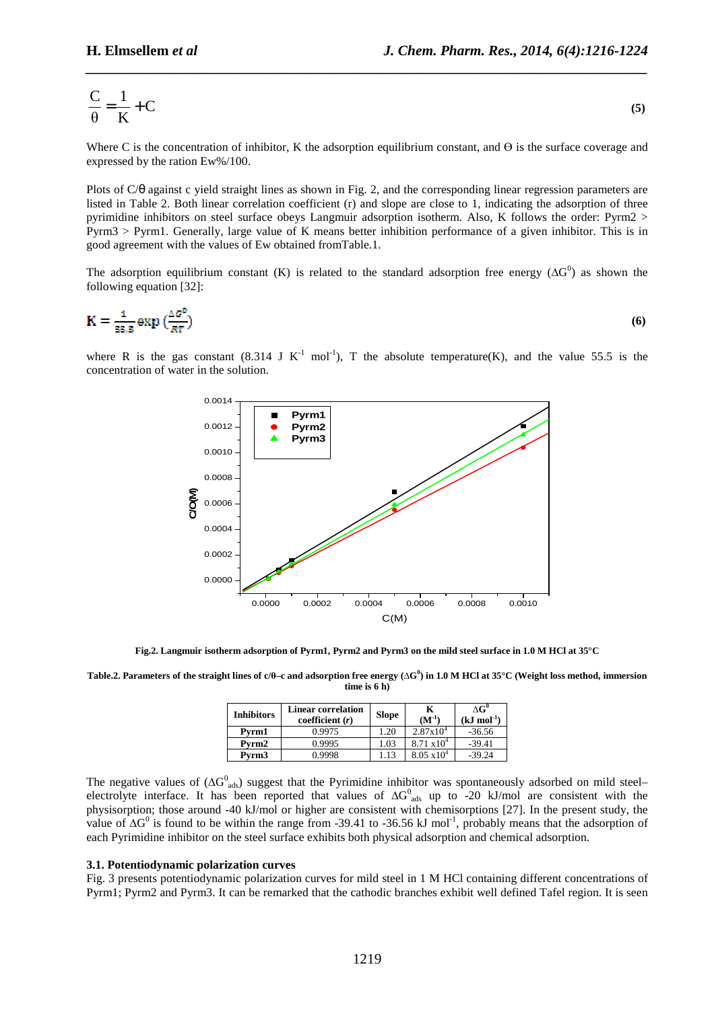$$
\frac{C}{\theta} = \frac{1}{K} + C
$$
 (5)

*\_\_\_\_\_\_\_\_\_\_\_\_\_\_\_\_\_\_\_\_\_\_\_\_\_\_\_\_\_\_\_\_\_\_\_\_\_\_\_\_\_\_\_\_\_\_\_\_\_\_\_\_\_\_\_\_\_\_\_\_\_\_\_\_\_\_\_\_\_\_\_\_\_\_\_\_\_\_*

Where C is the concentration of inhibitor, K the adsorption equilibrium constant, and  $\Theta$  is the surface coverage and expressed by the ration Ew%/100.

Plots of C/θ against c yield straight lines as shown in Fig. 2, and the corresponding linear regression parameters are listed in Table 2. Both linear correlation coefficient (r) and slope are close to 1, indicating the adsorption of three pyrimidine inhibitors on steel surface obeys Langmuir adsorption isotherm. Also, K follows the order: Pyrm2 > Pyrm3 > Pyrm1. Generally, large value of K means better inhibition performance of a given inhibitor. This is in good agreement with the values of Ew obtained fromTable.1.

The adsorption equilibrium constant (K) is related to the standard adsorption free energy ( $\Delta G^0$ ) as shown the following equation [32]:

$$
K = \frac{1}{55.5} \exp\left(\frac{\Delta \sigma^6}{RT}\right) \tag{6}
$$

where R is the gas constant (8.314 J K<sup>-1</sup> mol<sup>-1</sup>), T the absolute temperature(K), and the value 55.5 is the concentration of water in the solution.



**Fig.2. Langmuir isotherm adsorption of Pyrm1, Pyrm2 and Pyrm3 on the mild steel surface in 1.0 M HCl at 35°C** 

**Table.2. Parameters of the straight lines of c/θ–c and adsorption free energy (∆G 0 ) in 1.0 M HCl at 35°C (Weight loss method, immersion time is 6 h)** 

| <b>Inhibitors</b> | <b>Linear correlation</b><br>coefficient $(r)$ | <b>Slope</b> | $(M^{-1})$           | $\Delta G^0$<br>$(kJ \mod 1)$ |
|-------------------|------------------------------------------------|--------------|----------------------|-------------------------------|
| Pvrm1             | 0.9975                                         | 1.20         | $2.87x10^{4}$        | $-36.56$                      |
| Pvrm2             | 0.9995                                         | 1.03         | $8.71 \times 10^{4}$ | $-39.41$                      |
| Pvrm3             | 0.9998                                         | l.13         | $8.05 \times 10^{4}$ | $-39.24$                      |

The negative values of  $(\Delta G_{ads}^0)$  suggest that the Pyrimidine inhibitor was spontaneously adsorbed on mild steel– electrolyte interface. It has been reported that values of  $\Delta G_{ads}^0$  up to -20 kJ/mol are consistent with the physisorption; those around -40 kJ/mol or higher are consistent with chemisorptions [27]. In the present study, the value of  $\Delta G^0$  is found to be within the range from -39.41 to -36.56 kJ mol<sup>-1</sup>, probably means that the adsorption of each Pyrimidine inhibitor on the steel surface exhibits both physical adsorption and chemical adsorption.

#### **3.1. Potentiodynamic polarization curves**

Fig. 3 presents potentiodynamic polarization curves for mild steel in 1 M HCl containing different concentrations of Pyrm1; Pyrm2 and Pyrm3. It can be remarked that the cathodic branches exhibit well defined Tafel region. It is seen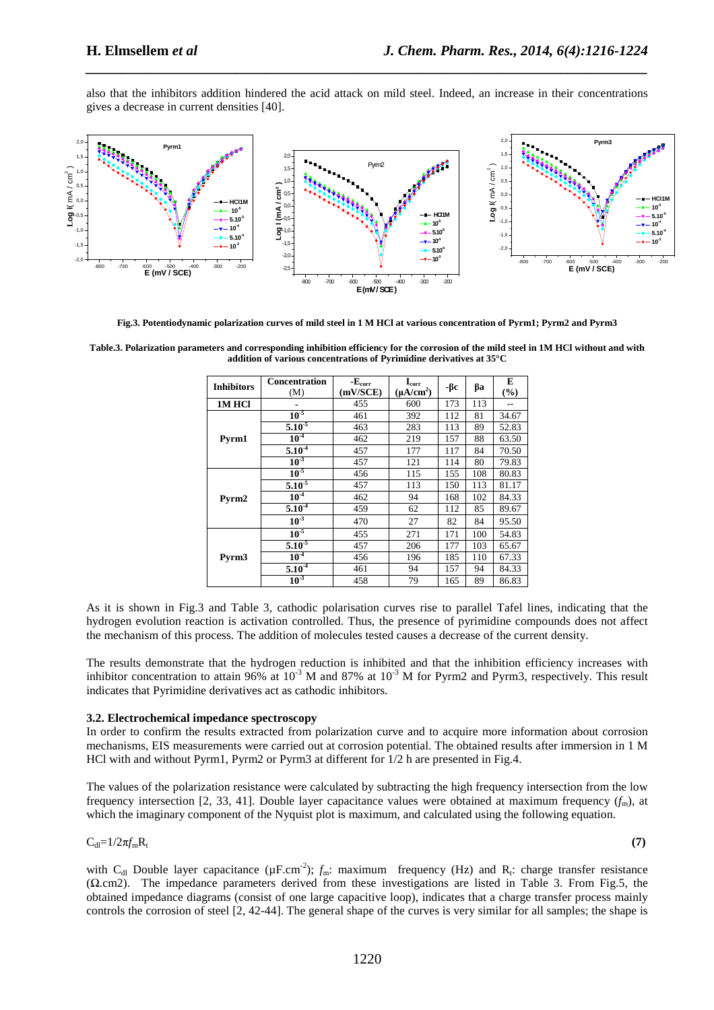also that the inhibitors addition hindered the acid attack on mild steel. Indeed, an increase in their concentrations gives a decrease in current densities [40].

*\_\_\_\_\_\_\_\_\_\_\_\_\_\_\_\_\_\_\_\_\_\_\_\_\_\_\_\_\_\_\_\_\_\_\_\_\_\_\_\_\_\_\_\_\_\_\_\_\_\_\_\_\_\_\_\_\_\_\_\_\_\_\_\_\_\_\_\_\_\_\_\_\_\_\_\_\_\_*



**Fig.3. Potentiodynamic polarization curves of mild steel in 1 M HCl at various concentration of Pyrm1; Pyrm2 and Pyrm3** 

**Table.3. Polarization parameters and corresponding inhibition efficiency for the corrosion of the mild steel in 1M HCl without and with addition of various concentrations of Pyrimidine derivatives at 35°C** 

| <b>Inhibitors</b> | <b>Concentration</b><br>(M) | $-Ecorr$<br>(mV/SCE) | $\mathbf{I}_{\text{corr}}$<br>$(\mu A/cm^2)$ | -βc | βa  | E<br>$\left( \frac{0}{0} \right)$ |
|-------------------|-----------------------------|----------------------|----------------------------------------------|-----|-----|-----------------------------------|
| <b>1M HCl</b>     |                             | 455                  | 600                                          | 173 | 113 |                                   |
|                   | $10^{-5}$                   | 461                  | 392                                          | 112 | 81  | 34.67                             |
|                   | $5.10^{-5}$                 | 463                  | 283                                          | 113 | 89  | 52.83                             |
| Pyrm1             | 10 <sup>4</sup>             | 462                  | 219                                          | 157 | 88  | 63.50                             |
|                   | $5.10^{4}$                  | 457                  | 177                                          | 117 | 84  | 70.50                             |
|                   | 10 <sup>3</sup>             | 457                  | 121                                          | 114 | 80  | 79.83                             |
|                   | $10-5$                      | 456                  | 115                                          | 155 | 108 | 80.83                             |
|                   | $5.10^{-5}$                 | 457                  | 113                                          | 150 | 113 | 81.17                             |
| Pyrm2             | $10-4$                      | 462                  | 94                                           | 168 | 102 | 84.33                             |
|                   | $5.10^{4}$                  | 459                  | 62                                           | 112 | 85  | 89.67                             |
|                   | $10^{-3}$                   | 470                  | 27                                           | 82  | 84  | 95.50                             |
| Pyrm <sub>3</sub> | $10^{-5}$                   | 455                  | 271                                          | 171 | 100 | 54.83                             |
|                   | $5.10^{3}$                  | 457                  | 206                                          | 177 | 103 | 65.67                             |
|                   | $10^4$                      | 456                  | 196                                          | 185 | 110 | 67.33                             |
|                   | $5.10^{-4}$                 | 461                  | 94                                           | 157 | 94  | 84.33                             |
|                   | $10^{-3}$                   | 458                  | 79                                           | 165 | 89  | 86.83                             |

As it is shown in Fig.3 and Table 3, cathodic polarisation curves rise to parallel Tafel lines, indicating that the hydrogen evolution reaction is activation controlled. Thus, the presence of pyrimidine compounds does not affect the mechanism of this process. The addition of molecules tested causes a decrease of the current density.

The results demonstrate that the hydrogen reduction is inhibited and that the inhibition efficiency increases with inhibitor concentration to attain 96% at  $10^{-3}$  M and 87% at  $10^{-3}$  M for Pyrm2 and Pyrm3, respectively. This result indicates that Pyrimidine derivatives act as cathodic inhibitors.

## **3.2. Electrochemical impedance spectroscopy**

In order to confirm the results extracted from polarization curve and to acquire more information about corrosion mechanisms, EIS measurements were carried out at corrosion potential. The obtained results after immersion in 1 M HCl with and without Pyrm1, Pyrm2 or Pyrm3 at different for 1/2 h are presented in Fig.4.

The values of the polarization resistance were calculated by subtracting the high frequency intersection from the low frequency intersection [2, 33, 41]. Double layer capacitance values were obtained at maximum frequency  $(f<sub>m</sub>)$ , at which the imaginary component of the Nyquist plot is maximum, and calculated using the following equation.

 $C_{dl} = 1/2\pi f_m R_t$ 

**(7)** 

with C<sub>dl</sub> Double layer capacitance ( $\mu$ F.cm<sup>-2</sup>);  $f_m$ : maximum frequency (Hz) and R<sub>t</sub>: charge transfer resistance (Ω.cm2). The impedance parameters derived from these investigations are listed in Table 3. From Fig.5, the obtained impedance diagrams (consist of one large capacitive loop), indicates that a charge transfer process mainly controls the corrosion of steel [2, 42-44]. The general shape of the curves is very similar for all samples; the shape is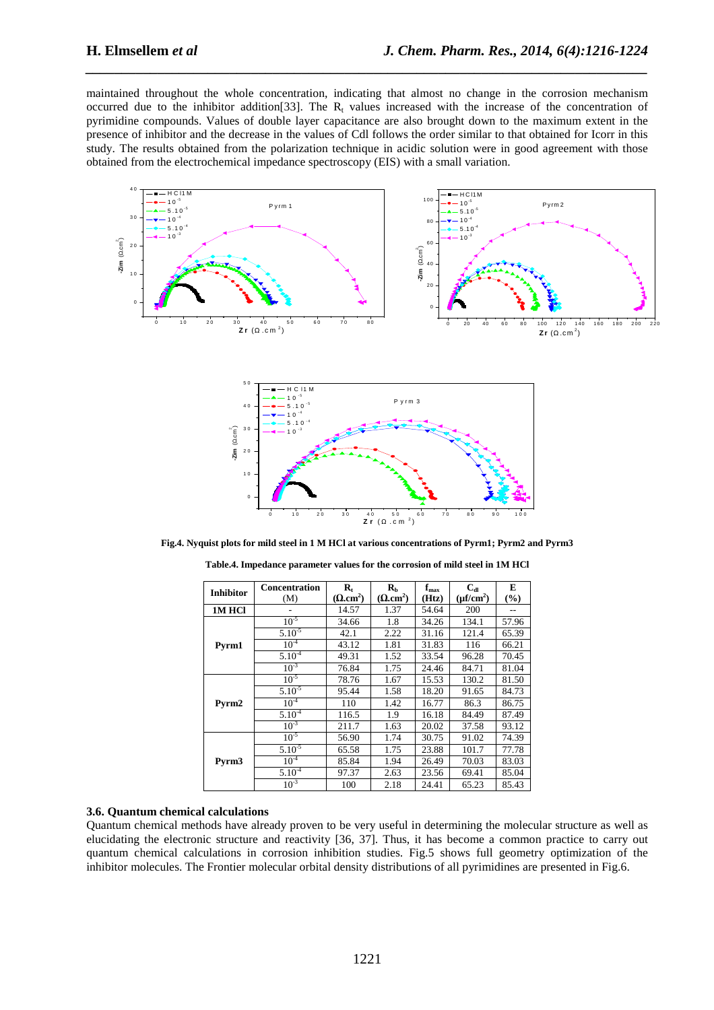maintained throughout the whole concentration, indicating that almost no change in the corrosion mechanism occurred due to the inhibitor addition<sup>[33]</sup>. The  $R_t$  values increased with the increase of the concentration of pyrimidine compounds. Values of double layer capacitance are also brought down to the maximum extent in the presence of inhibitor and the decrease in the values of Cdl follows the order similar to that obtained for Icorr in this study. The results obtained from the polarization technique in acidic solution were in good agreement with those obtained from the electrochemical impedance spectroscopy (EIS) with a small variation.

*\_\_\_\_\_\_\_\_\_\_\_\_\_\_\_\_\_\_\_\_\_\_\_\_\_\_\_\_\_\_\_\_\_\_\_\_\_\_\_\_\_\_\_\_\_\_\_\_\_\_\_\_\_\_\_\_\_\_\_\_\_\_\_\_\_\_\_\_\_\_\_\_\_\_\_\_\_\_*





**Fig.4. Nyquist plots for mild steel in 1 M HCl at various concentrations of Pyrm1; Pyrm2 and Pyrm3** 

| <b>Inhibitor</b> | <b>Concentration</b> | $\mathbf{R}_{t}$             | $\mathbf{R}_{\rm h}$         | $f_{\rm max}$ | $C_{dI}$       | E     |
|------------------|----------------------|------------------------------|------------------------------|---------------|----------------|-------|
|                  | (M)                  | $(\Omega$ .cm <sup>2</sup> ) | $(\Omega$ .cm <sup>2</sup> ) | (Htz)         | $(\mu f/cm^2)$ | (9/0) |
| 1M HCl           |                      | 14.57                        | 1.37                         | 54.64         | 200            | --    |
|                  | $10^{-5}$            | 34.66                        | 1.8                          | 34.26         | 134.1          | 57.96 |
|                  | $5.10^{3}$           | 42.1                         | 2.22                         | 31.16         | 121.4          | 65.39 |
| Pyrm1            | 10 <sup>4</sup>      | 43.12                        | 1.81                         | 31.83         | 116            | 66.21 |
|                  | $5.10^{4}$           | 49.31                        | 1.52                         | 33.54         | 96.28          | 70.45 |
|                  | $10^{-3}$            | 76.84                        | 1.75                         | 24.46         | 84.71          | 81.04 |
|                  | $10^{-5}$            | 78.76                        | 1.67                         | 15.53         | 130.2          | 81.50 |
|                  | $5.10^{-5}$          | 95.44                        | 1.58                         | 18.20         | 91.65          | 84.73 |
| Pyrm2            | $10^{4}$             | 110                          | 1.42                         | 16.77         | 86.3           | 86.75 |
|                  | $5.10^{4}$           | 116.5                        | 1.9                          | 16.18         | 84.49          | 87.49 |
|                  | $10^{-3}$            | 211.7                        | 1.63                         | 20.02         | 37.58          | 93.12 |
|                  | $10^{-5}$            | 56.90                        | 1.74                         | 30.75         | 91.02          | 74.39 |
|                  | $5.10^{-5}$          | 65.58                        | 1.75                         | 23.88         | 101.7          | 77.78 |
| Pyrm3            | 10 <sup>4</sup>      | 85.84                        | 1.94                         | 26.49         | 70.03          | 83.03 |
|                  | $5.10^{4}$           | 97.37                        | 2.63                         | 23.56         | 69.41          | 85.04 |
|                  | $10^{-3}$            | 100                          | 2.18                         | 24.41         | 65.23          | 85.43 |

**Table.4. Impedance parameter values for the corrosion of mild steel in 1M HCl** 

#### **3.6. Quantum chemical calculations**

Quantum chemical methods have already proven to be very useful in determining the molecular structure as well as elucidating the electronic structure and reactivity [36, 37]. Thus, it has become a common practice to carry out quantum chemical calculations in corrosion inhibition studies. Fig.5 shows full geometry optimization of the inhibitor molecules. The Frontier molecular orbital density distributions of all pyrimidines are presented in Fig.6.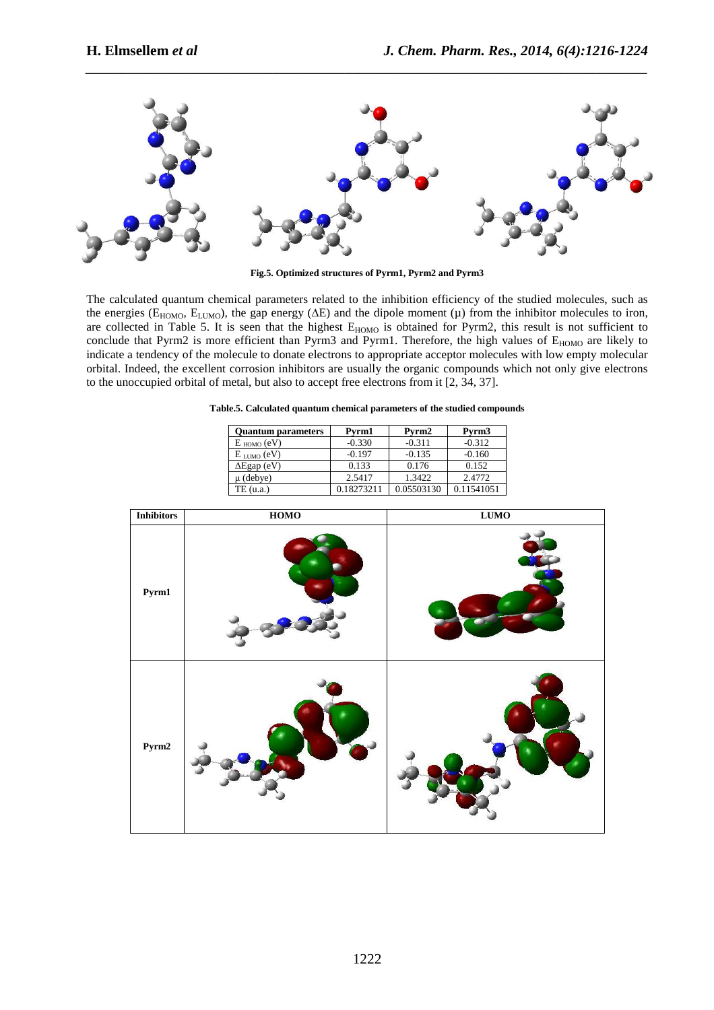

*\_\_\_\_\_\_\_\_\_\_\_\_\_\_\_\_\_\_\_\_\_\_\_\_\_\_\_\_\_\_\_\_\_\_\_\_\_\_\_\_\_\_\_\_\_\_\_\_\_\_\_\_\_\_\_\_\_\_\_\_\_\_\_\_\_\_\_\_\_\_\_\_\_\_\_\_\_\_*

**Fig.5. Optimized structures of Pyrm1, Pyrm2 and Pyrm3** 

The calculated quantum chemical parameters related to the inhibition efficiency of the studied molecules, such as the energies ( $E_{HOMO}$ ,  $E_{LUMO}$ ), the gap energy ( $\Delta E$ ) and the dipole moment ( $\mu$ ) from the inhibitor molecules to iron, are collected in Table 5. It is seen that the highest E<sub>HOMO</sub> is obtained for Pyrm2, this result is not sufficient to conclude that Pyrm2 is more efficient than Pyrm3 and Pyrm1. Therefore, the high values of E<sub>HOMO</sub> are likely to indicate a tendency of the molecule to donate electrons to appropriate acceptor molecules with low empty molecular orbital. Indeed, the excellent corrosion inhibitors are usually the organic compounds which not only give electrons to the unoccupied orbital of metal, but also to accept free electrons from it [2, 34, 37].

| <b>Quantum parameters</b> | Pvrm1      | Pyrm2      | Pyrm <sub>3</sub> |
|---------------------------|------------|------------|-------------------|
| $E_{HOMO}$ (eV)           | $-0.330$   | $-0.311$   | $-0.312$          |
| $E_{LUMO} (eV)$           | $-0.197$   | $-0.135$   | $-0.160$          |
| $\Delta$ Egap (eV)        | 0.133      | 0.176      | 0.152             |
| u (debye)                 | 2.5417     | 1.3422     | 2.4772            |
| TE (u.a.)                 | 0.18273211 | 0.05503130 | 0.11541051        |

| <b>Inhibitors</b> | <b>HOMO</b> | LUMO |
|-------------------|-------------|------|
| Pyrm1             |             |      |
| Pyrm2             |             |      |

# **Table.5. Calculated quantum chemical parameters of the studied compounds**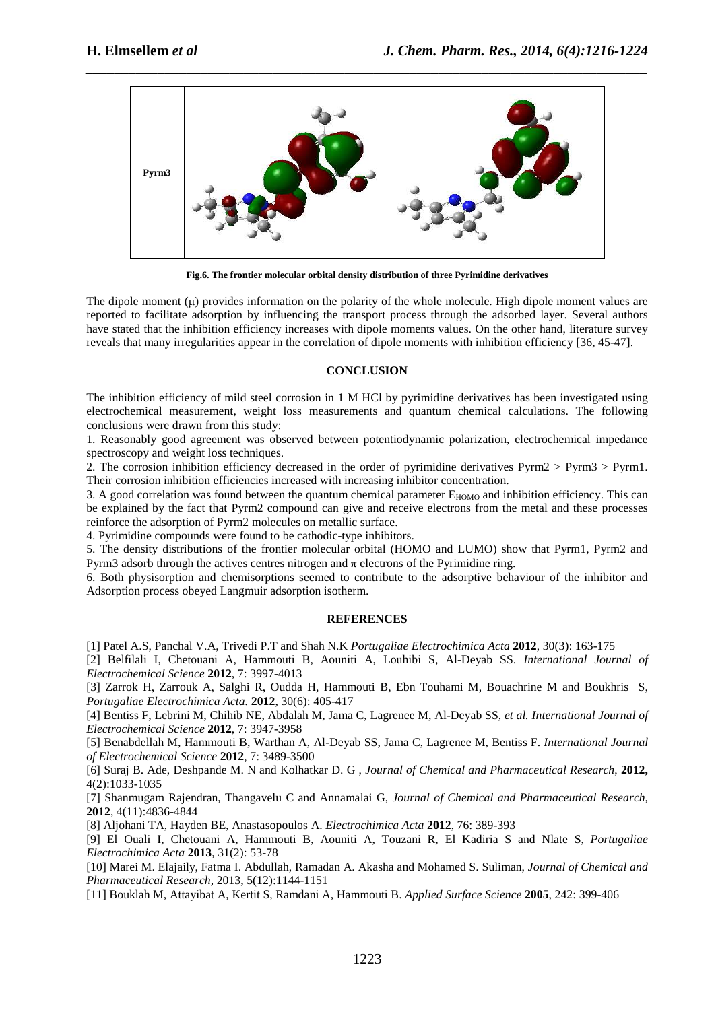

**Fig.6. The frontier molecular orbital density distribution of three Pyrimidine derivatives** 

The dipole moment  $(\mu)$  provides information on the polarity of the whole molecule. High dipole moment values are reported to facilitate adsorption by influencing the transport process through the adsorbed layer. Several authors have stated that the inhibition efficiency increases with dipole moments values. On the other hand, literature survey reveals that many irregularities appear in the correlation of dipole moments with inhibition efficiency [36, 45-47].

### **CONCLUSION**

The inhibition efficiency of mild steel corrosion in 1 M HCl by pyrimidine derivatives has been investigated using electrochemical measurement, weight loss measurements and quantum chemical calculations. The following conclusions were drawn from this study:

1. Reasonably good agreement was observed between potentiodynamic polarization, electrochemical impedance spectroscopy and weight loss techniques.

2. The corrosion inhibition efficiency decreased in the order of pyrimidine derivatives Pyrm2 > Pyrm3 > Pyrm1. Their corrosion inhibition efficiencies increased with increasing inhibitor concentration.

3. A good correlation was found between the quantum chemical parameter  $E_{HOMO}$  and inhibition efficiency. This can be explained by the fact that Pyrm2 compound can give and receive electrons from the metal and these processes reinforce the adsorption of Pyrm2 molecules on metallic surface.

4. Pyrimidine compounds were found to be cathodic-type inhibitors.

5. The density distributions of the frontier molecular orbital (HOMO and LUMO) show that Pyrm1, Pyrm2 and Pyrm3 adsorb through the actives centres nitrogen and  $\pi$  electrons of the Pyrimidine ring.

6. Both physisorption and chemisorptions seemed to contribute to the adsorptive behaviour of the inhibitor and Adsorption process obeyed Langmuir adsorption isotherm.

## **REFERENCES**

[1] Patel A.S, Panchal V.A, Trivedi P.T and Shah N.K *Portugaliae Electrochimica Acta* **2012**, 30(3): 163-175

[2] Belfilali I, Chetouani A, Hammouti B, Aouniti A, Louhibi S, Al-Deyab SS. *International Journal of Electrochemical Science* **2012**, 7: 3997-4013

[3] Zarrok H, Zarrouk A, Salghi R, Oudda H, Hammouti B, Ebn Touhami M, Bouachrine M and Boukhris S, *Portugaliae Electrochimica Acta.* **2012**, 30(6): 405-417

[4] Bentiss F, Lebrini M, Chihib NE, Abdalah M, Jama C, Lagrenee M, Al-Deyab SS*, et al. International Journal of Electrochemical Science* **2012**, 7: 3947-3958

[5] Benabdellah M, Hammouti B, Warthan A, Al-Deyab SS, Jama C, Lagrenee M, Bentiss F. *International Journal of Electrochemical Science* **2012**, 7: 3489-3500

[6] Suraj B. Ade, Deshpande M. N and Kolhatkar D. G , *Journal of Chemical and Pharmaceutical Research*, **2012,** 4(2):1033-1035

[7] Shanmugam Rajendran, Thangavelu C and Annamalai G, *Journal of Chemical and Pharmaceutical Research,* **2012**, 4(11):4836-4844

[8] Aljohani TA, Hayden BE, Anastasopoulos A. *Electrochimica Acta* **2012**, 76: 389-393

[9] El Ouali I, Chetouani A, Hammouti B, Aouniti A, Touzani R, El Kadiria S and Nlate S, *Portugaliae Electrochimica Acta* **2013**, 31(2): 53-78

[10] Marei M. Elajaily, Fatma I. Abdullah, Ramadan A. Akasha and Mohamed S. Suliman, *Journal of Chemical and Pharmaceutical Research,* 2013, 5(12):1144-1151

[11] Bouklah M, Attayibat A, Kertit S, Ramdani A, Hammouti B. *Applied Surface Science* **2005**, 242: 399-406